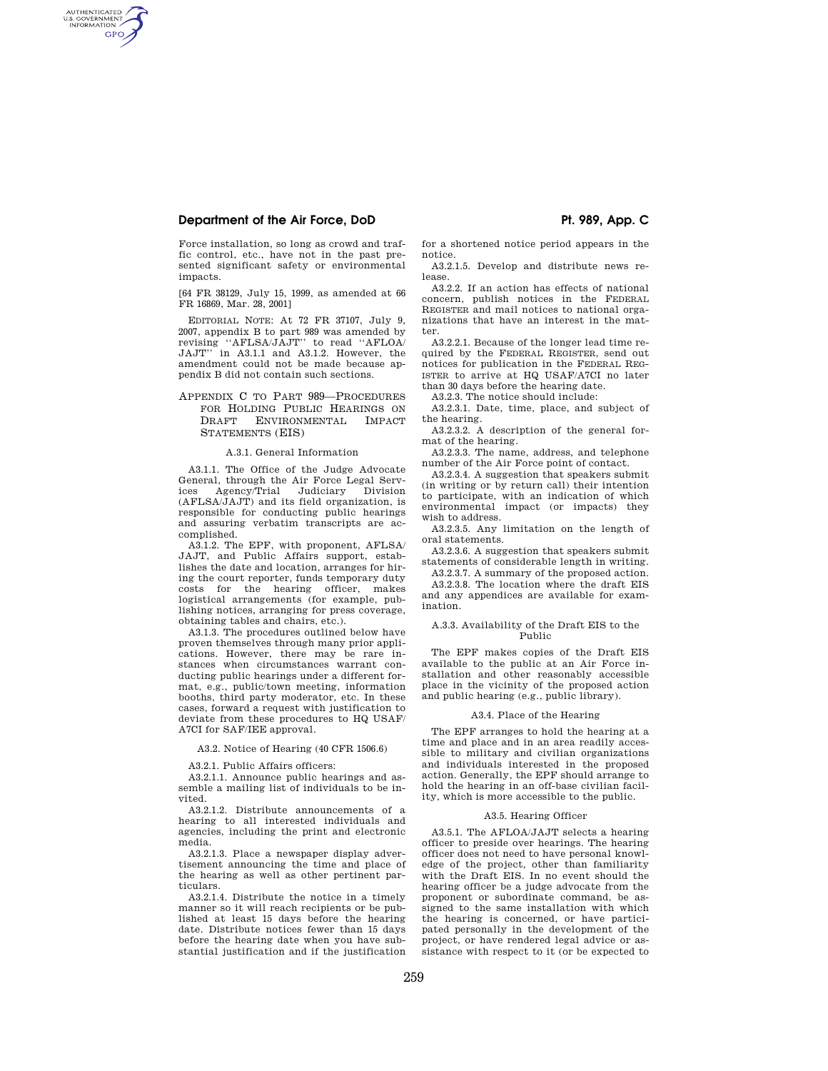# **Department of the Air Force, DoD Pt. 989, App. C**

AUTHENTICATED<br>U.S. GOVERNMENT<br>INFORMATION **GPO** 

> Force installation, so long as crowd and traffic control, etc., have not in the past presented significant safety or environmental impacts.

> [64 FR 38129, July 15, 1999, as amended at 66 FR 16869, Mar. 28, 2001]

> EDITORIAL NOTE: At 72 FR 37107, July 9, 2007, appendix B to part 989 was amended by revising ''AFLSA/JAJT'' to read ''AFLOA/ JAJT'' in A3.1.1 and A3.1.2. However, the amendment could not be made because appendix B did not contain such sections.

## APPENDIX C TO PART 989—PROCEDURES FOR HOLDING PUBLIC HEARINGS ON DRAFT ENVIRONMENTAL IMPACT STATEMENTS (EIS)

## A.3.1. General Information

A3.1.1. The Office of the Judge Advocate General, through the Air Force Legal Services Agency/Trial Judiciary Division (AFLSA/JAJT) and its field organization, is responsible for conducting public hearings and assuring verbatim transcripts are accomplished.

A3.1.2. The EPF, with proponent, AFLSA/ JAJT, and Public Affairs support, establishes the date and location, arranges for hiring the court reporter, funds temporary duty costs for the hearing officer, makes logistical arrangements (for example, publishing notices, arranging for press coverage, obtaining tables and chairs, etc.).

A3.1.3. The procedures outlined below have proven themselves through many prior applications. However, there may be rare instances when circumstances warrant conducting public hearings under a different format, e.g., public/town meeting, information booths, third party moderator, etc. In these cases, forward a request with justification to deviate from these procedures to HQ USAF/ A7CI for SAF/IEE approval.

A3.2. Notice of Hearing (40 CFR 1506.6)

A3.2.1. Public Affairs officers:

A3.2.1.1. Announce public hearings and assemble a mailing list of individuals to be invited.

A3.2.1.2. Distribute announcements of a hearing to all interested individuals and agencies, including the print and electronic media.

A3.2.1.3. Place a newspaper display advertisement announcing the time and place of the hearing as well as other pertinent particulars.

A3.2.1.4. Distribute the notice in a timely manner so it will reach recipients or be published at least 15 days before the hearing date. Distribute notices fewer than 15 days before the hearing date when you have substantial justification and if the justification

for a shortened notice period appears in the notice.

A3.2.1.5. Develop and distribute news release.

A3.2.2. If an action has effects of national concern, publish notices in the FEDERAL REGISTER and mail notices to national organizations that have an interest in the matter.

A3.2.2.1. Because of the longer lead time required by the FEDERAL REGISTER, send out notices for publication in the FEDERAL REG-ISTER to arrive at HQ USAF/A7CI no later than 30 days before the hearing date.

A3.2.3. The notice should include:

A3.2.3.1. Date, time, place, and subject of the hearing.

A3.2.3.2. A description of the general format of the hearing.

A3.2.3.3. The name, address, and telephone number of the Air Force point of contact.

A3.2.3.4. A suggestion that speakers submit (in writing or by return call) their intention to participate, with an indication of which environmental impact (or impacts) they wish to address.

A3.2.3.5. Any limitation on the length of oral statements.

A3.2.3.6. A suggestion that speakers submit statements of considerable length in writing.

A3.2.3.7. A summary of the proposed action. A3.2.3.8. The location where the draft EIS and any appendices are available for examination.

### A.3.3. Availability of the Draft EIS to the Public

The EPF makes copies of the Draft EIS available to the public at an Air Force installation and other reasonably accessible place in the vicinity of the proposed action and public hearing (e.g., public library).

### A3.4. Place of the Hearing

The EPF arranges to hold the hearing at a time and place and in an area readily accessible to military and civilian organizations and individuals interested in the proposed action. Generally, the EPF should arrange to hold the hearing in an off-base civilian facility, which is more accessible to the public.

### A3.5. Hearing Officer

A3.5.1. The AFLOA/JAJT selects a hearing officer to preside over hearings. The hearing officer does not need to have personal knowledge of the project, other than familiarity with the Draft EIS. In no event should the hearing officer be a judge advocate from the proponent or subordinate command, be assigned to the same installation with which the hearing is concerned, or have participated personally in the development of the project, or have rendered legal advice or assistance with respect to it (or be expected to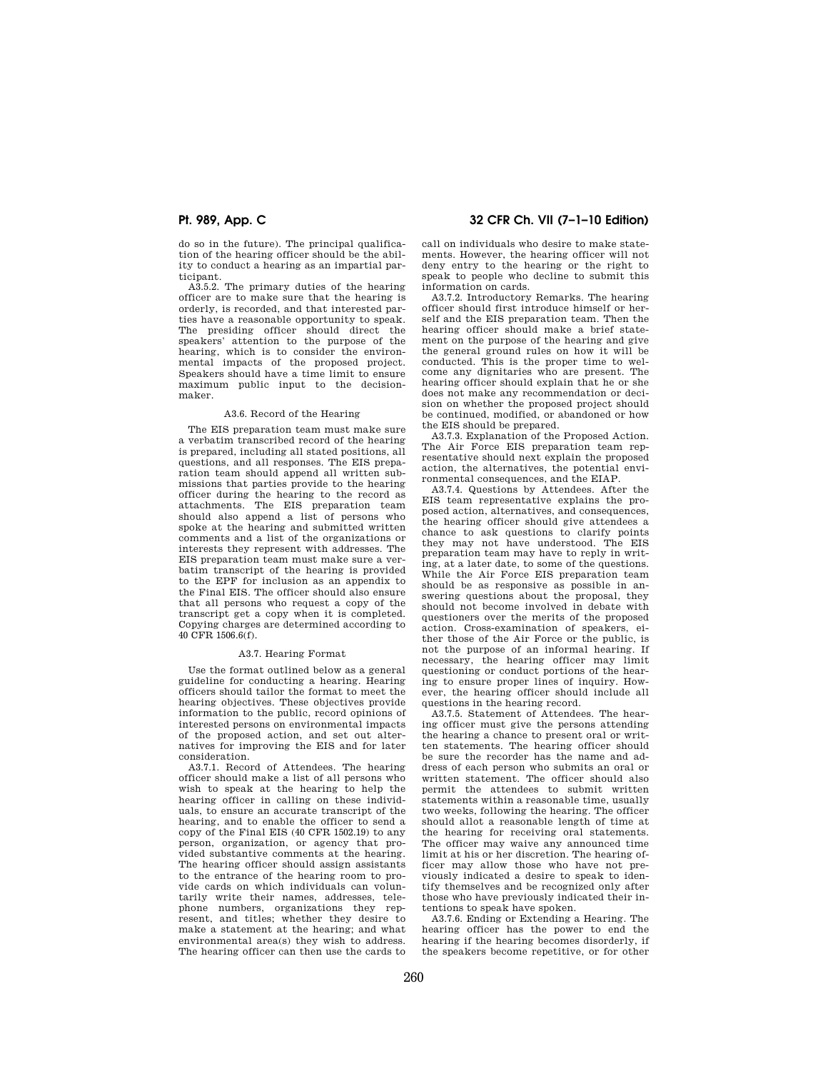do so in the future). The principal qualification of the hearing officer should be the ability to conduct a hearing as an impartial participant.

A3.5.2. The primary duties of the hearing officer are to make sure that the hearing is orderly, is recorded, and that interested parties have a reasonable opportunity to speak. The presiding officer should direct the speakers' attention to the purpose of the hearing, which is to consider the environmental impacts of the proposed project. Speakers should have a time limit to ensure maximum public input to the decisionmaker.

### A3.6. Record of the Hearing

The EIS preparation team must make sure a verbatim transcribed record of the hearing is prepared, including all stated positions, all questions, and all responses. The EIS preparation team should append all written submissions that parties provide to the hearing officer during the hearing to the record as attachments. The EIS preparation team should also append a list of persons who spoke at the hearing and submitted written comments and a list of the organizations or interests they represent with addresses. The EIS preparation team must make sure a verbatim transcript of the hearing is provided to the EPF for inclusion as an appendix to the Final EIS. The officer should also ensure that all persons who request a copy of the transcript get a copy when it is completed. Copying charges are determined according to 40 CFR 1506.6(f).

### A3.7. Hearing Format

Use the format outlined below as a general guideline for conducting a hearing. Hearing officers should tailor the format to meet the hearing objectives. These objectives provide information to the public, record opinions of interested persons on environmental impacts of the proposed action, and set out alternatives for improving the EIS and for later consideration.

A3.7.1. Record of Attendees. The hearing officer should make a list of all persons who wish to speak at the hearing to help the hearing officer in calling on these individuals, to ensure an accurate transcript of the hearing, and to enable the officer to send a copy of the Final EIS (40 CFR 1502.19) to any person, organization, or agency that provided substantive comments at the hearing. The hearing officer should assign assistants to the entrance of the hearing room to provide cards on which individuals can voluntarily write their names, addresses, telephone numbers, organizations they represent, and titles; whether they desire to make a statement at the hearing; and what environmental area(s) they wish to address. The hearing officer can then use the cards to

# **Pt. 989, App. C 32 CFR Ch. VII (7–1–10 Edition)**

call on individuals who desire to make statements. However, the hearing officer will not deny entry to the hearing or the right to speak to people who decline to submit this information on cards.

A3.7.2. Introductory Remarks. The hearing officer should first introduce himself or herself and the EIS preparation team. Then the hearing officer should make a brief statement on the purpose of the hearing and give the general ground rules on how it will be conducted. This is the proper time to welcome any dignitaries who are present. The hearing officer should explain that he or she does not make any recommendation or decision on whether the proposed project should be continued, modified, or abandoned or how the EIS should be prepared.

A3.7.3. Explanation of the Proposed Action. The Air Force EIS preparation team representative should next explain the proposed action, the alternatives, the potential environmental consequences, and the EIAP.

A3.7.4. Questions by Attendees. After the EIS team representative explains the proposed action, alternatives, and consequences, the hearing officer should give attendees a chance to ask questions to clarify points they may not have understood. The EIS preparation team may have to reply in writing, at a later date, to some of the questions. While the Air Force EIS preparation team should be as responsive as possible in answering questions about the proposal, they should not become involved in debate with questioners over the merits of the proposed action. Cross-examination of speakers, either those of the Air Force or the public, is not the purpose of an informal hearing. If necessary, the hearing officer may limit questioning or conduct portions of the hearing to ensure proper lines of inquiry. However, the hearing officer should include all questions in the hearing record.

A3.7.5. Statement of Attendees. The hearing officer must give the persons attending the hearing a chance to present oral or written statements. The hearing officer should be sure the recorder has the name and address of each person who submits an oral or written statement. The officer should also permit the attendees to submit written statements within a reasonable time, usually two weeks, following the hearing. The officer should allot a reasonable length of time at the hearing for receiving oral statements. The officer may waive any announced time limit at his or her discretion. The hearing officer may allow those who have not previously indicated a desire to speak to identify themselves and be recognized only after those who have previously indicated their intentions to speak have spoken.

A3.7.6. Ending or Extending a Hearing. The hearing officer has the power to end the hearing if the hearing becomes disorderly, if the speakers become repetitive, or for other